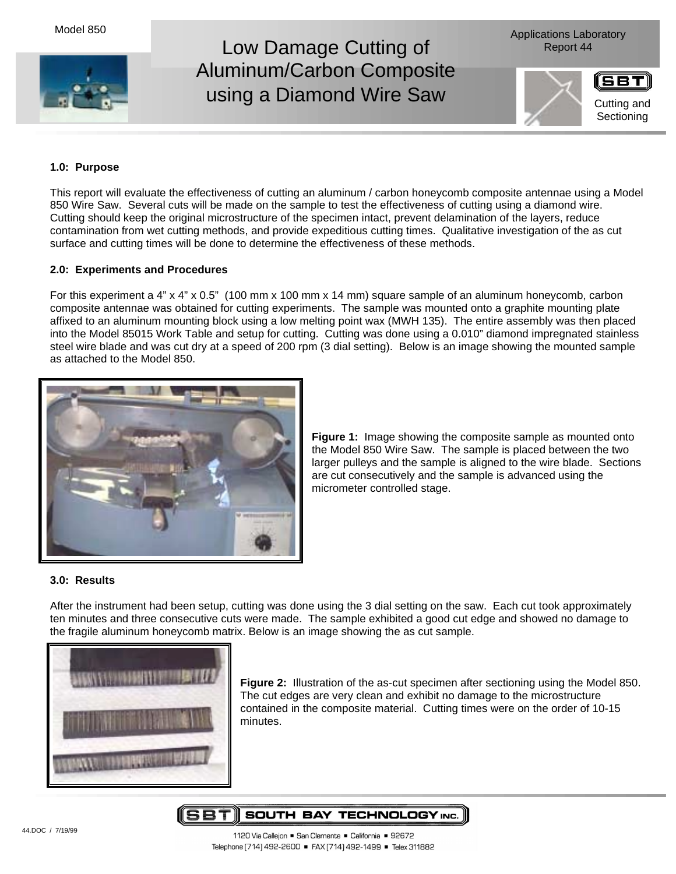



## **1.0: Purpose**

This report will evaluate the effectiveness of cutting an aluminum / carbon honeycomb composite antennae using a Model 850 Wire Saw. Several cuts will be made on the sample to test the effectiveness of cutting using a diamond wire. Cutting should keep the original microstructure of the specimen intact, prevent delamination of the layers, reduce contamination from wet cutting methods, and provide expeditious cutting times. Qualitative investigation of the as cut surface and cutting times will be done to determine the effectiveness of these methods.

## **2.0: Experiments and Procedures**

For this experiment a 4" x 4" x 0.5" (100 mm x 100 mm x 14 mm) square sample of an aluminum honeycomb, carbon composite antennae was obtained for cutting experiments. The sample was mounted onto a graphite mounting plate affixed to an aluminum mounting block using a low melting point wax (MWH 135). The entire assembly was then placed into the Model 85015 Work Table and setup for cutting. Cutting was done using a 0.010" diamond impregnated stainless steel wire blade and was cut dry at a speed of 200 rpm (3 dial setting). Below is an image showing the mounted sample as attached to the Model 850.



**Figure 1:** Image showing the composite sample as mounted onto the Model 850 Wire Saw. The sample is placed between the two larger pulleys and the sample is aligned to the wire blade. Sections are cut consecutively and the sample is advanced using the micrometer controlled stage.

## **3.0: Results**

After the instrument had been setup, cutting was done using the 3 dial setting on the saw. Each cut took approximately ten minutes and three consecutive cuts were made. The sample exhibited a good cut edge and showed no damage to the fragile aluminum honeycomb matrix. Below is an image showing the as cut sample.



**Figure 2:** Illustration of the as-cut specimen after sectioning using the Model 850. The cut edges are very clean and exhibit no damage to the microstructure contained in the composite material. Cutting times were on the order of 10-15 minutes.